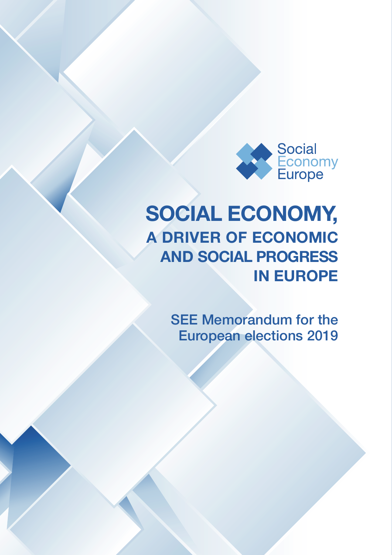

# **SOCIAL ECONOMY, A DRIVER OF ECONOMIC AND SOCIAL PROGRESS IN EUROPE**

SEE Memorandum for the European elections 2019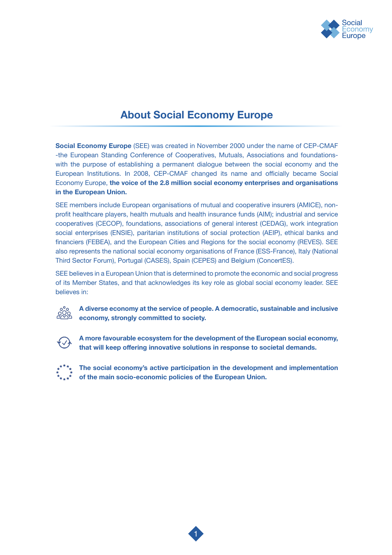

# **About Social Economy Europe**

**Social Economy Europe** (SEE) was created in November 2000 under the name of CEP-CMAF -the European Standing Conference of Cooperatives, Mutuals, Associations and foundationswith the purpose of establishing a permanent dialogue between the social economy and the European Institutions. In 2008, CEP-CMAF changed its name and officially became Social Economy Europe, **the voice of the 2.8 million social economy enterprises and organisations in the European Union.** 

SEE members include European organisations of mutual and cooperative insurers (AMICE), nonprofit healthcare players, health mutuals and health insurance funds (AIM); industrial and service cooperatives (CECOP), foundations, associations of general interest (CEDAG), work integration social enterprises (ENSIE), paritarian institutions of social protection (AEIP), ethical banks and financiers (FEBEA), and the European Cities and Regions for the social economy (REVES). SEE also represents the national social economy organisations of France (ESS-France), Italy (National Third Sector Forum), Portugal (CASES), Spain (CEPES) and Belgium (ConcertES).

SEE believes in a European Union that is determined to promote the economic and social progress of its Member States, and that acknowledges its key role as global social economy leader. SEE believes in:

**A diverse economy at the service of people. A democratic, sustainable and inclusive economy, strongly committed to society.**



 **A more favourable ecosystem for the development of the European social economy, that will keep offering innovative solutions in response to societal demands.**



 **The social economy's active participation in the development and implementation of the main socio-economic policies of the European Union.**

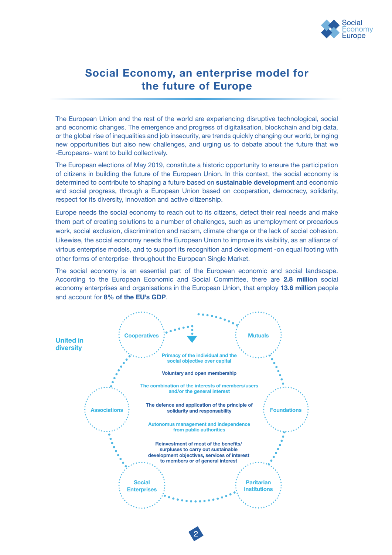

# **Social Economy, an enterprise model for the future of Europe**

The European Union and the rest of the world are experiencing disruptive technological, social and economic changes. The emergence and progress of digitalisation, blockchain and big data, or the global rise of inequalities and job insecurity, are trends quickly changing our world, bringing new opportunities but also new challenges, and urging us to debate about the future that we -Europeans- want to build collectively.

The European elections of May 2019, constitute a historic opportunity to ensure the participation of citizens in building the future of the European Union. In this context, the social economy is determined to contribute to shaping a future based on **sustainable development** and economic and social progress, through a European Union based on cooperation, democracy, solidarity, respect for its diversity, innovation and active citizenship.

Europe needs the social economy to reach out to its citizens, detect their real needs and make them part of creating solutions to a number of challenges, such as unemployment or precarious work, social exclusion, discrimination and racism, climate change or the lack of social cohesion. Likewise, the social economy needs the European Union to improve its visibility, as an alliance of virtous enterprise models, and to support its recognition and development -on equal footing with other forms of enterprise- throughout the European Single Market.

The social economy is an essential part of the European economic and social landscape. According to the European Economic and Social Committee, there are **2.8 million** social economy enterprises and organisations in the European Union, that employ **13.6 million** people and account for **8% of the EU's GDP**.



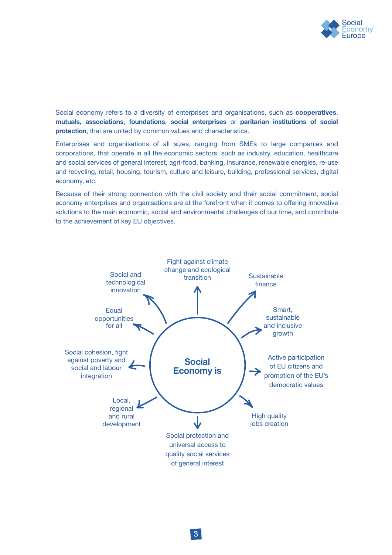

### Social economy refers to a diversity of enterprises and organisations, such as **cooperatives**, **mutuals**, **associations**, **foundations**, **social enterprises** or **paritarian institutions of social protection**, that are united by common values and characteristics.

Enterprises and organisations of all sizes, ranging from SMEs to large companies and corporations, that operate in all the economic sectors, such as industry, education, healthcare and social services of general interest, agri-food, banking, insurance, renewable energies, re-use and recycling, retail, housing, tourism, culture and leisure, building, professional services, digital economy, etc.

Because of their strong connection with the civil society and their social commitment, social economy enterprises and organisations are at the forefront when it comes to offering innovative solutions to the main economic, social and environmental challenges of our time, and contribute to the achievement of key EU objectives.

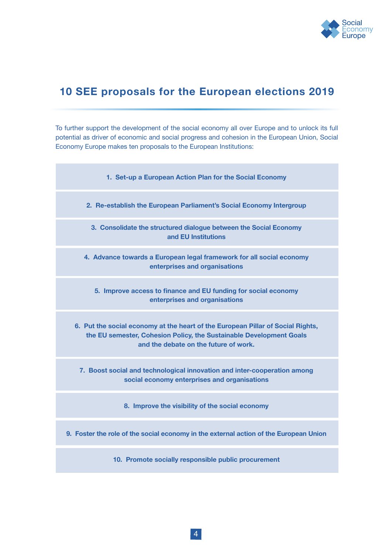

# **10 SEE proposals for the European elections 2019**

To further support the development of the social economy all over Europe and to unlock its full potential as driver of economic and social progress and cohesion in the European Union, Social Economy Europe makes ten proposals to the European Institutions:

| 1. Set-up a European Action Plan for the Social Economy                                                                                                                                         |
|-------------------------------------------------------------------------------------------------------------------------------------------------------------------------------------------------|
| 2. Re-establish the European Parliament's Social Economy Intergroup                                                                                                                             |
| 3. Consolidate the structured dialogue between the Social Economy<br>and EU Institutions                                                                                                        |
| 4. Advance towards a European legal framework for all social economy<br>enterprises and organisations                                                                                           |
| 5. Improve access to finance and EU funding for social economy<br>enterprises and organisations                                                                                                 |
| 6. Put the social economy at the heart of the European Pillar of Social Rights,<br>the EU semester, Cohesion Policy, the Sustainable Development Goals<br>and the debate on the future of work. |
| 7. Boost social and technological innovation and inter-cooperation among<br>social economy enterprises and organisations                                                                        |
| 8. Improve the visibility of the social economy                                                                                                                                                 |
| 9. Foster the role of the social economy in the external action of the European Union                                                                                                           |
| 10. Promote socially responsible public procurement                                                                                                                                             |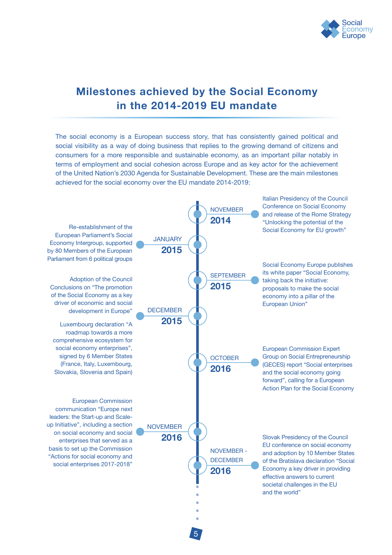

# **Milestones achieved by the Social Economy in the 2014-2019 EU mandate**

The social economy is a European success story, that has consistently gained political and social visibility as a way of doing business that replies to the growing demand of citizens and consumers for a more responsible and sustainable economy, as an important pillar notably in terms of employment and social cohesion across Europe and as key actor for the achievement of the United Nation's 2030 Agenda for Sustainable Development. These are the main milestones achieved for the social economy over the EU mandate 2014-2019:

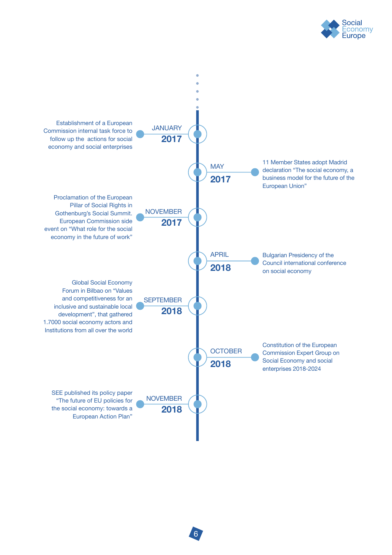

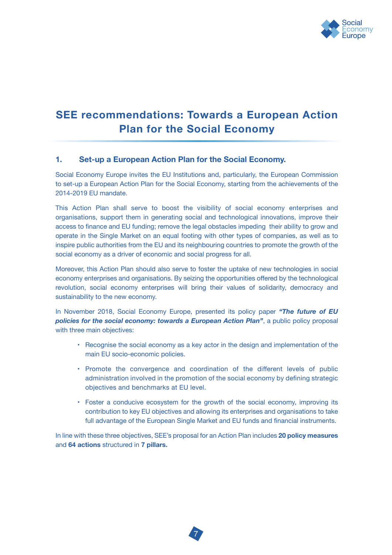

# **SEE recommendations: Towards a European Action Plan for the Social Economy**

### **1. Set-up a European Action Plan for the Social Economy.**

Social Economy Europe invites the EU Institutions and, particularly, the European Commission to set-up a European Action Plan for the Social Economy, starting from the achievements of the 2014-2019 EU mandate.

This Action Plan shall serve to boost the visibility of social economy enterprises and organisations, support them in generating social and technological innovations, improve their access to finance and EU funding; remove the legal obstacles impeding their ability to grow and operate in the Single Market on an equal footing with other types of companies, as well as to inspire public authorities from the EU and its neighbouring countries to promote the growth of the social economy as a driver of economic and social progress for all.

Moreover, this Action Plan should also serve to foster the uptake of new technologies in social economy enterprises and organisations. By seizing the opportunities offered by the technological revolution, social economy enterprises will bring their values of solidarity, democracy and sustainability to the new economy.

In November 2018, Social Economy Europe, presented its policy paper *"The future of EU policies for the social economy: towards a European Action Plan"*, a public policy proposal with three main objectives:

- Recognise the social economy as a key actor in the design and implementation of the main EU socio-economic policies.
- Promote the convergence and coordination of the different levels of public administration involved in the promotion of the social economy by defining strategic objectives and benchmarks at EU level.
- Foster a conducive ecosystem for the growth of the social economy, improving its contribution to key EU objectives and allowing its enterprises and organisations to take full advantage of the European Single Market and EU funds and financial instruments.

In line with these three objectives, SEE's proposal for an Action Plan includes **20 policy measures** and **64 actions** structured in **7 pillars.**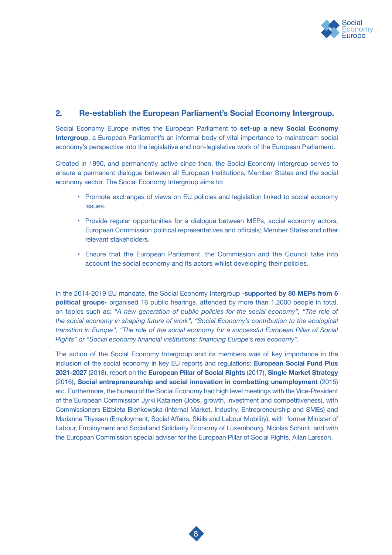

### **2. Re-establish the European Parliament's Social Economy Intergroup.**

Social Economy Europe invites the European Parliament to **set-up a new Social Economy Intergroup**, a European Parliament's an informal body of vital importance to mainstream social economy's perspective into the legislative and non-legislative work of the European Parliament.

Created in 1990, and permanently active since then, the Social Economy Intergroup serves to ensure a permanent dialogue between all European Institutions, Member States and the social economy sector. The Social Economy Intergroup aims to:

- Promote exchanges of views on EU policies and legislation linked to social economy issues.
- Provide regular opportunities for a dialogue between MEPs, social economy actors, European Commission political representatives and officials; Member States and other relevant stakeholders.
- Ensure that the European Parliament, the Commission and the Council take into account the social economy and its actors whilst developing their policies.

In the 2014-2019 EU mandate, the Social Economy Intergroup -**supported by 80 MEPs from 6 political groups**- organised 16 public hearings, attended by more than 1.2000 people in total, on topics such as: *"A new generation of public policies for the social economy", "The role of the social economy in shaping future of work", "Social Economy's contribution to the ecological transition in Europe", "The role of the social economy for a successful European Pillar of Social Rights" or "Social economy financial institutions: financing Europe's real economy".* 

The action of the Social Economy Intergroup and its members was of key importance in the inclusion of the social economy in key EU reports and regulations: **European Social Fund Plus 2021-2027** (2018), report on the **European Pillar of Social Rights** (2017), **Single Market Strategy**  (2016), **Social entrepreneurship and social innovation in combatting unemployment** (2015) etc. Furthermore, the bureau of the Social Economy had high level meetings with the Vice-President of the European Commission Jyrki Katainen (Jobs, growth, investment and competitiveness), with Commissioners Elżbieta Bieńkowska (Internal Market, Industry, Entrepreneurship and SMEs) and Marianne Thyssen (Employment, Social Affairs, Skills and Labour Mobility); with former Minister of Labour, Employment and Social and Solidarity Economy of Luxembourg, Nicolas Schmit, and with the European Commission special adviser for the European Pillar of Social Rights, Allan Larsson.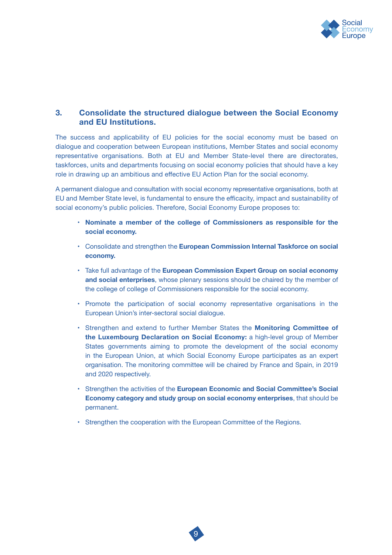

# **3. Consolidate the structured dialogue between the Social Economy and EU Institutions.**

The success and applicability of EU policies for the social economy must be based on dialogue and cooperation between European institutions, Member States and social economy representative organisations. Both at EU and Member State-level there are directorates, taskforces, units and departments focusing on social economy policies that should have a key role in drawing up an ambitious and effective EU Action Plan for the social economy.

A permanent dialogue and consultation with social economy representative organisations, both at EU and Member State level, is fundamental to ensure the efficacity, impact and sustainability of social economy's public policies. Therefore, Social Economy Europe proposes to:

- **Nominate a member of the college of Commissioners as responsible for the social economy.**
- Consolidate and strengthen the **European Commission Internal Taskforce on social economy.**
- Take full advantage of the **European Commission Expert Group on social economy and social enterprises**, whose plenary sessions should be chaired by the member of the college of college of Commissioners responsible for the social economy.
- Promote the participation of social economy representative organisations in the European Union's inter-sectoral social dialogue.
- Strengthen and extend to further Member States the **Monitoring Committee of the Luxembourg Declaration on Social Economy:** a high-level group of Member States governments aiming to promote the development of the social economy in the European Union, at which Social Economy Europe participates as an expert organisation. The monitoring committee will be chaired by France and Spain, in 2019 and 2020 respectively.
- Strengthen the activities of the **European Economic and Social Committee's Social Economy category and study group on social economy enterprises**, that should be permanent.
- Strengthen the cooperation with the European Committee of the Regions.

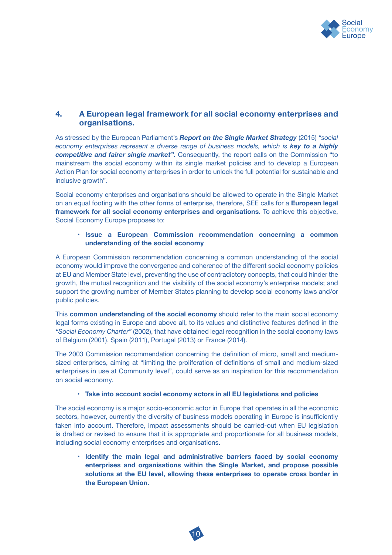

# **4. A European legal framework for all social economy enterprises and organisations.**

As stressed by the European Parliament's *Report on the Single Market Strategy* (2015) *"social economy enterprises represent a diverse range of business models, which is key to a highly competitive and fairer single market".* Consequently, the report calls on the Commission "to mainstream the social economy within its single market policies and to develop a European Action Plan for social economy enterprises in order to unlock the full potential for sustainable and inclusive growth".

Social economy enterprises and organisations should be allowed to operate in the Single Market on an equal footing with the other forms of enterprise, therefore, SEE calls for a **European legal framework for all social economy enterprises and organisations.** To achieve this objective, Social Economy Europe proposes to:

#### • **Issue a European Commission recommendation concerning a common understanding of the social economy**

A European Commission recommendation concerning a common understanding of the social economy would improve the convergence and coherence of the different social economy policies at EU and Member State level, preventing the use of contradictory concepts, that could hinder the growth, the mutual recognition and the visibility of the social economy's enterprise models; and support the growing number of Member States planning to develop social economy laws and/or public policies.

This **common understanding of the social economy** should refer to the main social economy legal forms existing in Europe and above all, to its values and distinctive features defined in the *"Social Economy Charter"* (2002), that have obtained legal recognition in the social economy laws of Belgium (2001), Spain (2011), Portugal (2013) or France (2014).

The 2003 Commission recommendation concerning the definition of micro, small and mediumsized enterprises, aiming at "limiting the proliferation of definitions of small and medium-sized enterprises in use at Community level", could serve as an inspiration for this recommendation on social economy.

#### • **Take into account social economy actors in all EU legislations and policies**

The social economy is a major socio-economic actor in Europe that operates in all the economic sectors, however, currently the diversity of business models operating in Europe is insufficiently taken into account. Therefore, impact assessments should be carried-out when EU legislation is drafted or revised to ensure that it is appropriate and proportionate for all business models, including social economy enterprises and organisations.

10

 • **Identify the main legal and administrative barriers faced by social economy enterprises and organisations within the Single Market, and propose possible solutions at the EU level, allowing these enterprises to operate cross border in the European Union.**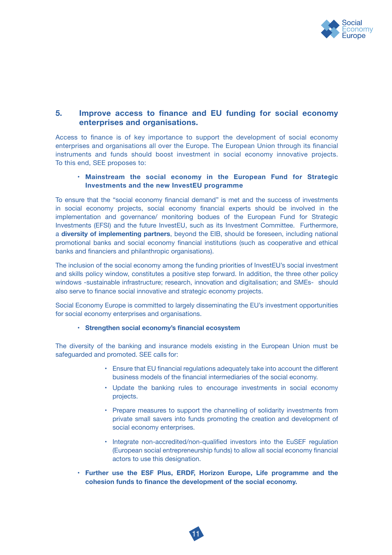

# **5. Improve access to finance and EU funding for social economy enterprises and organisations.**

Access to finance is of key importance to support the development of social economy enterprises and organisations all over the Europe. The European Union through its financial instruments and funds should boost investment in social economy innovative projects. To this end, SEE proposes to:

#### • **Mainstream the social economy in the European Fund for Strategic Investments and the new InvestEU programme**

To ensure that the "social economy financial demand" is met and the success of investments in social economy projects, social economy financial experts should be involved in the implementation and governance/ monitoring bodues of the European Fund for Strategic Investments (EFSI) and the future InvestEU, such as its Investment Committee. Furthermore, a **diversity of implementing partners**, beyond the EIB, should be foreseen, including national promotional banks and social economy financial institutions (such as cooperative and ethical banks and financiers and philanthropic organisations).

The inclusion of the social economy among the funding priorities of InvestEU's social investment and skills policy window, constitutes a positive step forward. In addition, the three other policy windows -sustainable infrastructure; research, innovation and digitalisation; and SMEs- should also serve to finance social innovative and strategic economy projects.

Social Economy Europe is committed to largely disseminating the EU's investment opportunities for social economy enterprises and organisations.

#### • **Strengthen social economy's financial ecosystem**

The diversity of the banking and insurance models existing in the European Union must be safeguarded and promoted. SEE calls for:

- Ensure that EU financial regulations adequately take into account the different business models of the financial intermediaries of the social economy.
- Update the banking rules to encourage investments in social economy projects.
- Prepare measures to support the channelling of solidarity investments from private small savers into funds promoting the creation and development of social economy enterprises.
- Integrate non-accredited/non-qualified investors into the EuSEF regulation (European social entrepreneurship funds) to allow all social economy financial actors to use this designation.
- **Further use the ESF Plus, ERDF, Horizon Europe, Life programme and the cohesion funds to finance the development of the social economy.**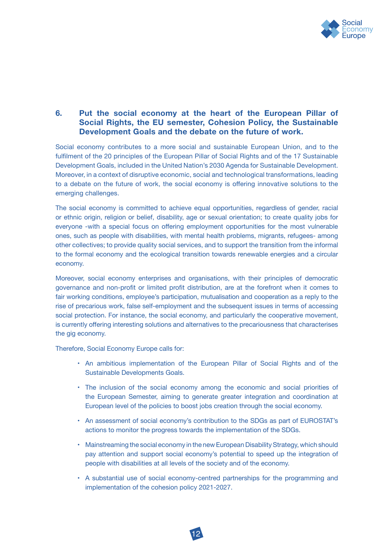

# **6. Put the social economy at the heart of the European Pillar of Social Rights, the EU semester, Cohesion Policy, the Sustainable Development Goals and the debate on the future of work.**

Social economy contributes to a more social and sustainable European Union, and to the fulfilment of the 20 principles of the European Pillar of Social Rights and of the 17 Sustainable Development Goals, included in the United Nation's 2030 Agenda for Sustainable Development. Moreover, in a context of disruptive economic, social and technological transformations, leading to a debate on the future of work, the social economy is offering innovative solutions to the emerging challenges.

The social economy is committed to achieve equal opportunities, regardless of gender, racial or ethnic origin, religion or belief, disability, age or sexual orientation; to create quality jobs for everyone -with a special focus on offering employment opportunities for the most vulnerable ones, such as people with disabilities, with mental health problems, migrants, refugees- among other collectives; to provide quality social services, and to support the transition from the informal to the formal economy and the ecological transition towards renewable energies and a circular economy.

Moreover, social economy enterprises and organisations, with their principles of democratic governance and non-profit or limited profit distribution, are at the forefront when it comes to fair working conditions, employee's participation, mutualisation and cooperation as a reply to the rise of precarious work, false self-employment and the subsequent issues in terms of accessing social protection. For instance, the social economy, and particularly the cooperative movement, is currently offering interesting solutions and alternatives to the precariousness that characterises the gig economy.

Therefore, Social Economy Europe calls for:

- An ambitious implementation of the European Pillar of Social Rights and of the Sustainable Developments Goals.
- The inclusion of the social economy among the economic and social priorities of the European Semester, aiming to generate greater integration and coordination at European level of the policies to boost jobs creation through the social economy.
- An assessment of social economy's contribution to the SDGs as part of EUROSTAT's actions to monitor the progress towards the implementation of the SDGs.
- Mainstreaming the social economy in the new European Disability Strategy, which should pay attention and support social economy's potential to speed up the integration of people with disabilities at all levels of the society and of the economy.
- A substantial use of social economy-centred partnerships for the programming and implementation of the cohesion policy 2021-2027.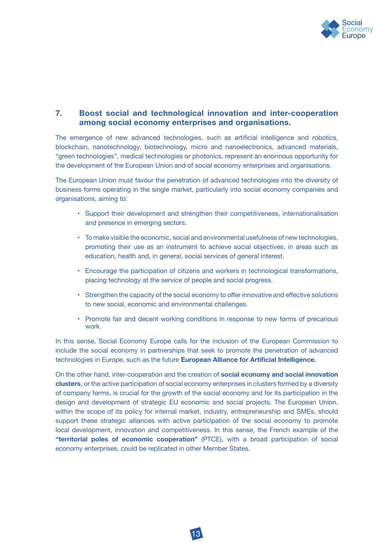

# **7. Boost social and technological innovation and inter-cooperation among social economy enterprises and organisations.**

The emergence of new advanced technologies, such as artificial intelligence and robotics, blockchain, nanotechnology, biotechnology, micro and nanoelectronics, advanced materials, "green technologies", medical technologies or photonics, represent an enormous opportunity for the development of the European Union and of social economy enterprises and organisations.

The European Union must favour the penetration of advanced technologies into the diversity of business forms operating in the single market, particularly into social economy companies and organisations, aiming to:

- Support their development and strengthen their competitiveness, internationalisation and presence in emerging sectors.
- To make visible the economic, social and environmental usefulness of new technologies, promoting their use as an instrument to achieve social objectives, in areas such as education, health and, in general, social services of general interest.
- Encourage the participation of citizens and workers in technological transformations, placing technology at the service of people and social progress.
- Strengthen the capacity of the social economy to offer innovative and effective solutions to new social, economic and environmental challenges.
- Promote fair and decent working conditions in response to new forms of precarious work.

In this sense, Social Economy Europe calls for the inclusion of the European Commission to include the social economy in partnerships that seek to promote the penetration of advanced technologies in Europe, such as the future **European Alliance for Artificial Intelligence.**

On the other hand, inter-cooperation and the creation of **social economy and social innovation clusters**, or the active participation of social economy enterprises in clusters formed by a diversity of company forms, is crucial for the growth of the social economy and for its participation in the design and development of strategic EU economic and social projects. The European Union, within the scope of its policy for internal market, industry, entrepreneurship and SMEs, should support these strategic alliances with active participation of the social economy to promote local development, innovation and competitiveness. In this sense, the French example of the **"territorial poles of economic cooperation"** (PTCE), with a broad participation of social economy enterprises, could be replicated in other Member States.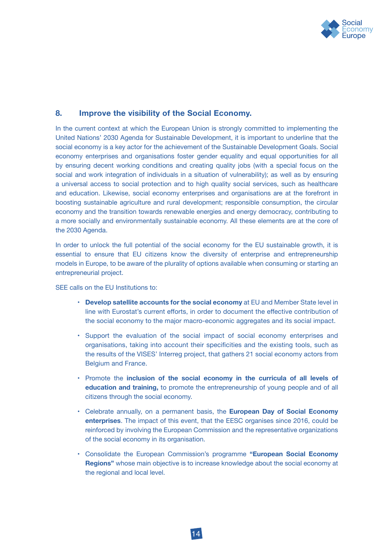

### **8. Improve the visibility of the Social Economy.**

In the current context at which the European Union is strongly committed to implementing the United Nations' 2030 Agenda for Sustainable Development, it is important to underline that the social economy is a key actor for the achievement of the Sustainable Development Goals. Social economy enterprises and organisations foster gender equality and equal opportunities for all by ensuring decent working conditions and creating quality jobs (with a special focus on the social and work integration of individuals in a situation of vulnerability); as well as by ensuring a universal access to social protection and to high quality social services, such as healthcare and education. Likewise, social economy enterprises and organisations are at the forefront in boosting sustainable agriculture and rural development; responsible consumption, the circular economy and the transition towards renewable energies and energy democracy, contributing to a more socially and environmentally sustainable economy. All these elements are at the core of the 2030 Agenda.

In order to unlock the full potential of the social economy for the EU sustainable growth, it is essential to ensure that EU citizens know the diversity of enterprise and entrepreneurship models in Europe, to be aware of the plurality of options available when consuming or starting an entrepreneurial project.

SEE calls on the EU Institutions to:

- **Develop satellite accounts for the social economy** at EU and Member State level in line with Eurostat's current efforts, in order to document the effective contribution of the social economy to the major macro-economic aggregates and its social impact.
- Support the evaluation of the social impact of social economy enterprises and organisations, taking into account their specificities and the existing tools, such as the results of the VISES' Interreg project, that gathers 21 social economy actors from Belgium and France.
- Promote the **inclusion of the social economy in the curricula of all levels of education and training,** to promote the entrepreneurship of young people and of all citizens through the social economy.
- Celebrate annually, on a permanent basis, the **European Day of Social Economy enterprises**. The impact of this event, that the EESC organises since 2016, could be reinforced by involving the European Commission and the representative organizations of the social economy in its organisation.
- Consolidate the European Commission's programme **"European Social Economy Regions"** whose main objective is to increase knowledge about the social economy at the regional and local level.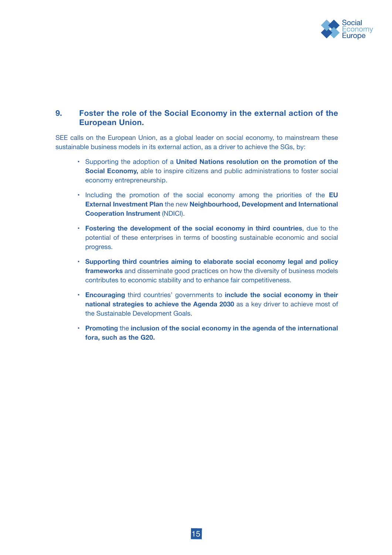

# **9. Foster the role of the Social Economy in the external action of the European Union.**

SEE calls on the European Union, as a global leader on social economy, to mainstream these sustainable business models in its external action, as a driver to achieve the SGs, by:

- Supporting the adoption of a **United Nations resolution on the promotion of the Social Economy,** able to inspire citizens and public administrations to foster social economy entrepreneurship.
- Including the promotion of the social economy among the priorities of the **EU External Investment Plan** the new **Neighbourhood, Development and International Cooperation Instrument** (NDICI).
- **Fostering the development of the social economy in third countries**, due to the potential of these enterprises in terms of boosting sustainable economic and social progress.
- **Supporting third countries aiming to elaborate social economy legal and policy frameworks** and disseminate good practices on how the diversity of business models contributes to economic stability and to enhance fair competitiveness.
- **Encouraging** third countries' governments to **include the social economy in their national strategies to achieve the Agenda 2030** as a key driver to achieve most of the Sustainable Development Goals.
- **Promoting** the **inclusion of the social economy in the agenda of the international fora, such as the G20.**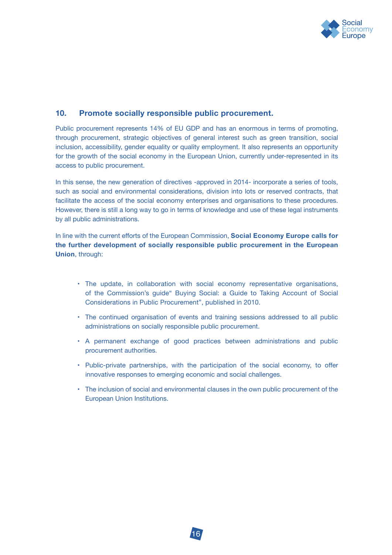

# **10. Promote socially responsible public procurement.**

Public procurement represents 14% of EU GDP and has an enormous in terms of promoting, through procurement, strategic objectives of general interest such as green transition, social inclusion, accessibility, gender equality or quality employment. It also represents an opportunity for the growth of the social economy in the European Union, currently under-represented in its access to public procurement.

In this sense, the new generation of directives -approved in 2014- incorporate a series of tools, such as social and environmental considerations, division into lots or reserved contracts, that facilitate the access of the social economy enterprises and organisations to these procedures. However, there is still a long way to go in terms of knowledge and use of these legal instruments by all public administrations.

In line with the current efforts of the European Commission, **Social Economy Europe calls for the further development of socially responsible public procurement in the European Union**, through:

- The update, in collaboration with social economy representative organisations, of the Commission's guide" Buying Social: a Guide to Taking Account of Social Considerations in Public Procurement", published in 2010.
- The continued organisation of events and training sessions addressed to all public administrations on socially responsible public procurement.
- A permanent exchange of good practices between administrations and public procurement authorities.
- Public-private partnerships, with the participation of the social economy, to offer innovative responses to emerging economic and social challenges.
- The inclusion of social and environmental clauses in the own public procurement of the European Union Institutions.

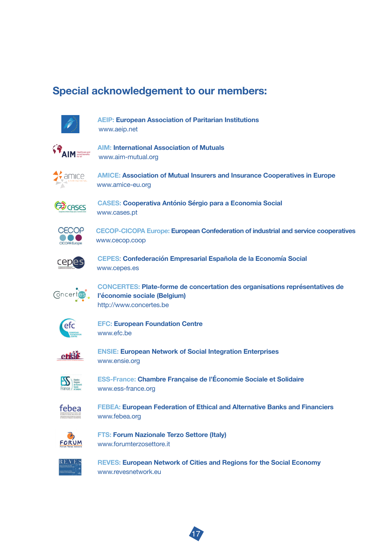# **Special acknowledgement to our members:**



 **AEIP: European Association of Paritarian Institutions** www.aeip.net



**AIM:** International Association of Mutuals www.aim-mutual.org



**AMICE: Association of Mutual Insurers and Insurance Cooperatives in Europe** www.amice-eu.org



**(CASES: Cooperativa António Sérgio para a Economia Social** www.cases.pt



 **CECOP-CICOPA Europe: European Confederation of industrial and service cooperatives**  www.cecop.coop



 **CEPES**: **Confederación Empresarial Española de la Economía Social**  www.cepes.es



**CONCERTES: Plate-forme de concertation des organisations représentatives de Concertes.**<br> *CONCERTES: Plate-forme de concertation des organisations représentatives de*  **l'économie sociale (Belgium)** http://www.concertes.be



 **EFC: European Foundation Centre**  www.efc.be



**ENSIE: European Network of Social Integration Enterprises** www.ensie.org



**ESS-France: Chambre Française de l'Économie Sociale et Solidaire )** www.ess-france.org



 **FEBEA: European Federation of Ethical and Alternative Banks and Financiers**  www.febea.org



*B* **FTS: Forum Nazionale Terzo Settore (Italy)**<br>FORUM MANAM for unterzosettore it www.forumterzosettore.it



 **REVES: European Network of Cities and Regions for the Social Economy**  www.revesnetwork.eu